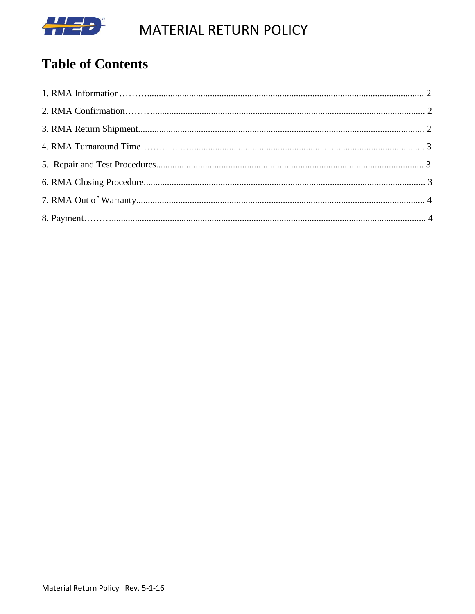

MATERIAL RETURN POLICY

# **Table of Contents**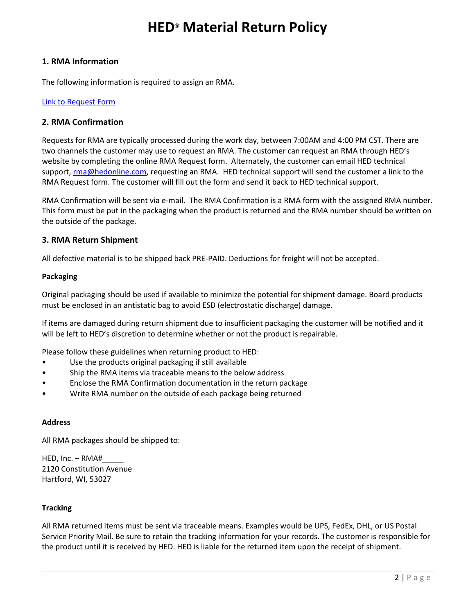## **HED® Material Return Policy**

#### **1. RMA Information**

The following information is required to assign an RMA.

#### Link to [Request Form](file://///Hed-exchange/public/00-Quality/RMA%20Kaizen/Draft%20RMA%20Request%20Form_2-9-16.xls)

#### **2. RMA Confirmation**

Requests for RMA are typically processed during the work day, between 7:00AM and 4:00 PM CST. There are two channels the customer may use to request an RMA. The customer can request an RMA through HED's website by completing the online RMA Request form. Alternately, the customer can email HED technical support, [rma@hedonline.com,](mailto:rma@hedonline.com) requesting an RMA. HED technical support will send the customer a link to the RMA Request form. The customer will fill out the form and send it back to HED technical support.

RMA Confirmation will be sent via e-mail. The RMA Confirmation is a RMA form with the assigned RMA number. This form must be put in the packaging when the product is returned and the RMA number should be written on the outside of the package.

#### **3. RMA Return Shipment**

All defective material is to be shipped back PRE-PAID. Deductions for freight will not be accepted.

#### **Packaging**

Original packaging should be used if available to minimize the potential for shipment damage. Board products must be enclosed in an antistatic bag to avoid ESD (electrostatic discharge) damage.

If items are damaged during return shipment due to insufficient packaging the customer will be notified and it will be left to HED's discretion to determine whether or not the product is repairable.

Please follow these guidelines when returning product to HED:

- Use the products original packaging if still available
- Ship the RMA items via traceable means to the below address
- Enclose the RMA Confirmation documentation in the return package
- Write RMA number on the outside of each package being returned

#### **Address**

All RMA packages should be shipped to:

HED, Inc. – RMA#\_\_\_\_\_ 2120 Constitution Avenue Hartford, WI, 53027

#### **Tracking**

All RMA returned items must be sent via traceable means. Examples would be UPS, FedEx, DHL, or US Postal Service Priority Mail. Be sure to retain the tracking information for your records. The customer is responsible for the product until it is received by HED. HED is liable for the returned item upon the receipt of shipment.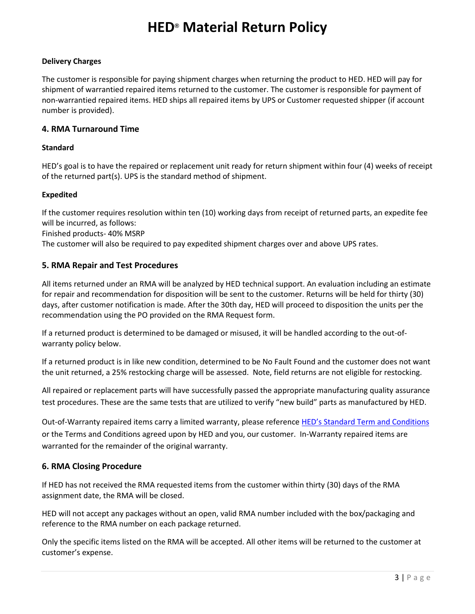## **HED® Material Return Policy**

### **Delivery Charges**

The customer is responsible for paying shipment charges when returning the product to HED. HED will pay for shipment of warrantied repaired items returned to the customer. The customer is responsible for payment of non-warrantied repaired items. HED ships all repaired items by UPS or Customer requested shipper (if account number is provided).

### **4. RMA Turnaround Time**

#### **Standard**

HED's goal is to have the repaired or replacement unit ready for return shipment within four (4) weeks of receipt of the returned part(s). UPS is the standard method of shipment.

### **Expedited**

If the customer requires resolution within ten (10) working days from receipt of returned parts, an expedite fee will be incurred, as follows:

Finished products- 40% MSRP

The customer will also be required to pay expedited shipment charges over and above UPS rates.

### **5. RMA Repair and Test Procedures**

All items returned under an RMA will be analyzed by HED technical support. An evaluation including an estimate for repair and recommendation for disposition will be sent to the customer. Returns will be held for thirty (30) days, after customer notification is made. After the 30th day, HED will proceed to disposition the units per the recommendation using the PO provided on the RMA Request form.

If a returned product is determined to be damaged or misused, it will be handled according to the out-ofwarranty policy below.

If a returned product is in like new condition, determined to be No Fault Found and the customer does not want the unit returned, a 25% restocking charge will be assessed. Note, field returns are not eligible for restocking.

All repaired or replacement parts will have successfully passed the appropriate manufacturing quality assurance test procedures. These are the same tests that are utilized to verify "new build" parts as manufactured by HED.

Out-of-Warranty repaired items carry a limited warranty, please reference [HED's Standard Term and Conditions](file://///HED-EXCHANGE/QUALITY/1.%20Quality%20Management%20System/02_Policies%20and%20Internal%20Communication/Warranty%20Policies/HEDTerms%20of%20Sale,%20including%20Warranty.pdf) or the Terms and Conditions agreed upon by HED and you, our customer. In-Warranty repaired items are warranted for the remainder of the original warranty.

## **6. RMA Closing Procedure**

If HED has not received the RMA requested items from the customer within thirty (30) days of the RMA assignment date, the RMA will be closed.

HED will not accept any packages without an open, valid RMA number included with the box/packaging and reference to the RMA number on each package returned.

Only the specific items listed on the RMA will be accepted. All other items will be returned to the customer at customer's expense.